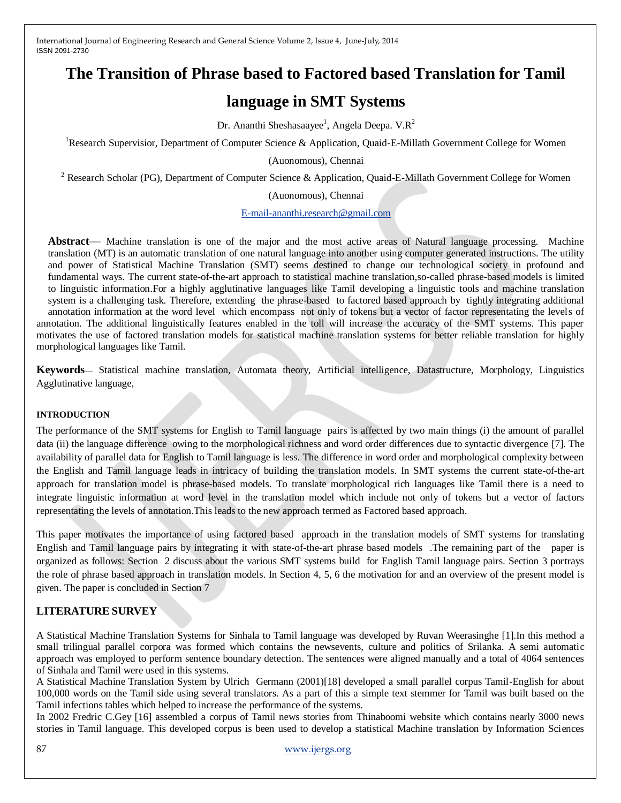# **The Transition of Phrase based to Factored based Translation for Tamil**

# **language in SMT Systems**

Dr. Ananthi Sheshasaayee<sup>1</sup>, Angela Deepa. V.R<sup>2</sup>

<sup>1</sup>Research Supervisior, Department of Computer Science & Application, Quaid-E-Millath Government College for Women

(Auonomous), Chennai

<sup>2</sup> Research Scholar (PG), Department of Computer Science & Application, Quaid-E-Millath Government College for Women

(Auonomous), Chennai

[E-mail-ananthi.research@gmail.com](mailto:E-mail-ananthi.research@gmail.com)

**Abstract**— Machine translation is one of the major and the most active areas of Natural language processing. Machine translation (MT) is an automatic translation of one natural language into another using computer generated instructions. The utility and power of Statistical Machine Translation (SMT) seems destined to change our technological society in profound and fundamental ways. The current state-of-the-art approach to statistical machine translation,so-called phrase-based models is limited to linguistic information.For a highly agglutinative languages like Tamil developing a linguistic tools and machine translation system is a challenging task. Therefore, extending the phrase-based to factored based approach by tightly integrating additional annotation information at the word level which encompass not only of tokens but a vector of factor representating the levels of annotation. The additional linguistically features enabled in the toll will increase the accuracy of the SMT systems. This paper motivates the use of factored translation models for statistical machine translation systems for better reliable translation for highly morphological languages like Tamil.

**Keywords**— Statistical machine translation, Automata theory, Artificial intelligence, Datastructure, Morphology, Linguistics Agglutinative language,

#### **INTRODUCTION**

The performance of the SMT systems for English to Tamil language pairs is affected by two main things (i) the amount of parallel data (ii) the language difference owing to the morphological richness and word order differences due to syntactic divergence [7]. The availability of parallel data for English to Tamil language is less. The difference in word order and morphological complexity between the English and Tamil language leads in intricacy of building the translation models. In SMT systems the current state-of-the-art approach for translation model is phrase-based models. To translate morphological rich languages like Tamil there is a need to integrate linguistic information at word level in the translation model which include not only of tokens but a vector of factors representating the levels of annotation.This leads to the new approach termed as Factored based approach.

This paper motivates the importance of using factored based approach in the translation models of SMT systems for translating English and Tamil language pairs by integrating it with state-of-the-art phrase based models .The remaining part of the paper is organized as follows: Section 2 discuss about the various SMT systems build for English Tamil language pairs. Section 3 portrays the role of phrase based approach in translation models. In Section 4, 5, 6 the motivation for and an overview of the present model is given. The paper is concluded in Section 7

## **LITERATURE SURVEY**

A Statistical Machine Translation Systems for Sinhala to Tamil language was developed by Ruvan Weerasinghe [1].In this method a small trilingual parallel corpora was formed which contains the newsevents, culture and politics of Srilanka. A semi automatic approach was employed to perform sentence boundary detection. The sentences were aligned manually and a total of 4064 sentences of Sinhala and Tamil were used in this systems.

A Statistical Machine Translation System by Ulrich Germann (2001)[18] developed a small parallel corpus Tamil-English for about 100,000 words on the Tamil side using several translators. As a part of this a simple text stemmer for Tamil was built based on the Tamil infections tables which helped to increase the performance of the systems.

In 2002 Fredric C.Gey [16] assembled a corpus of Tamil news stories from Thinaboomi website which contains nearly 3000 news stories in Tamil language. This developed corpus is been used to develop a statistical Machine translation by Information Sciences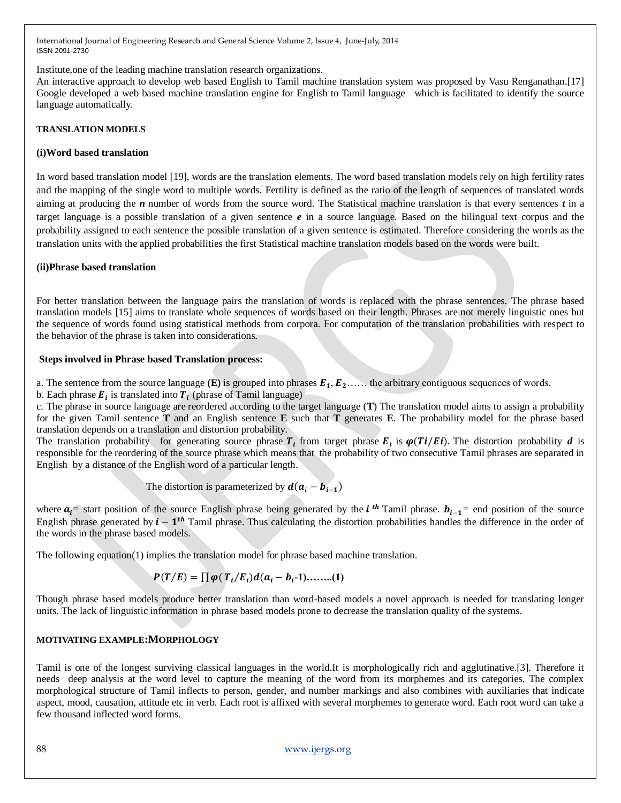Institute,one of the leading machine translation research organizations.

An interactive approach to develop web based English to Tamil machine translation system was proposed by Vasu Renganathan.[17] Google developed a web based machine translation engine for English to Tamil language which is facilitated to identify the source language automatically.

## **TRANSLATION MODELS**

## **(i)Word based translation**

In word based translation model [19], words are the translation elements. The word based translation models rely on high fertility rates and the mapping of the single word to multiple words. Fertility is defined as the ratio of the length of sequences of translated words aiming at producing the *n* number of words from the source word. The Statistical machine translation is that every sentences *t* in a target language is a possible translation of a given sentence *e* in a source language. Based on the bilingual text corpus and the probability assigned to each sentence the possible translation of a given sentence is estimated. Therefore considering the words as the translation units with the applied probabilities the first Statistical machine translation models based on the words were built.

### **(ii)Phrase based translation**

For better translation between the language pairs the translation of words is replaced with the phrase sentences. The phrase based translation models [15] aims to translate whole sequences of words based on their length. Phrases are not merely linguistic ones but the sequence of words found using statistical methods from corpora. For computation of the translation probabilities with respect to the behavior of the phrase is taken into considerations.

### **Steps involved in Phrase based Translation process:**

a. The sentence from the source language  $(E)$  is grouped into phrases  $E_1, E_2, \ldots$  the arbitrary contiguous sequences of words.

b. Each phrase  $E_i$  is translated into  $T_i$  (phrase of Tamil language)

c. The phrase in source language are reordered according to the target language (**T**) The translation model aims to assign a probability for the given Tamil sentence **T** and an English sentence **E** such that **T** generates **E**. The probability model for the phrase based translation depends on a translation and distortion probability.

The translation probability for generating source phrase  $T_i$  from target phrase  $E_i$  is  $\varphi(Ti/Ei)$ . The distortion probability *d* is responsible for the reordering of the source phrase which means that the probability of two consecutive Tamil phrases are separated in English by a distance of the English word of a particular length.

The distortion is parameterized by 
$$
d(a_i - b_{i-1})
$$

where  $a_i$  start position of the source English phrase being generated by the *i*<sup>th</sup> Tamil phrase.  $b_{i-1}$  end position of the source English phrase generated by  $i - 1$ <sup>th</sup> Tamil phrase. Thus calculating the distortion probabilities handles the difference in the order of the words in the phrase based models.

The following equation(1) implies the translation model for phrase based machine translation.

$$
P(T/E) = \prod \varphi(T_i/E_i)d(a_i - b_i-1) \dots (1)
$$

Though phrase based models produce better translation than word-based models a novel approach is needed for translating longer units. The lack of linguistic information in phrase based models prone to decrease the translation quality of the systems.

## **MOTIVATING EXAMPLE:MORPHOLOGY**

Tamil is one of the longest surviving classical languages in the world.It is morphologically rich and agglutinative.[3]. Therefore it needs deep analysis at the word level to capture the meaning of the word from its morphemes and its categories. The complex morphological structure of Tamil inflects to person, gender, and number markings and also combines with auxiliaries that indicate aspect, mood, causation, attitude etc in verb. Each root is affixed with several morphemes to generate word. Each root word can take a few thousand inflected word forms.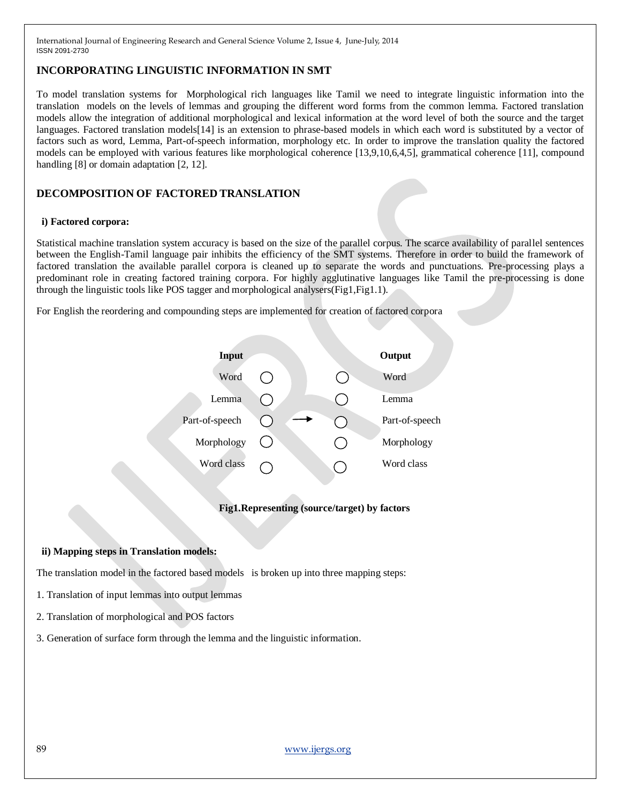# **INCORPORATING LINGUISTIC INFORMATION IN SMT**

To model translation systems for Morphological rich languages like Tamil we need to integrate linguistic information into the translation models on the levels of lemmas and grouping the different word forms from the common lemma. Factored translation models allow the integration of additional morphological and lexical information at the word level of both the source and the target languages. Factored translation models<sup>[14]</sup> is an extension to phrase-based models in which each word is substituted by a vector of factors such as word, Lemma, Part-of-speech information, morphology etc. In order to improve the translation quality the factored models can be employed with various features like morphological coherence [13,9,10,6,4,5], grammatical coherence [11], compound handling [8] or domain adaptation [2, 12].

# **DECOMPOSITION OF FACTORED TRANSLATION**

### **i) Factored corpora:**

Statistical machine translation system accuracy is based on the size of the parallel corpus. The scarce availability of parallel sentences between the English-Tamil language pair inhibits the efficiency of the SMT systems. Therefore in order to build the framework of factored translation the available parallel corpora is cleaned up to separate the words and punctuations. Pre-processing plays a predominant role in creating factored training corpora. For highly agglutinative languages like Tamil the pre-processing is done through the linguistic tools like POS tagger and morphological analysers(Fig1,Fig1.1).

For English the reordering and compounding steps are implemented for creation of factored corpora



## **Fig1.Representing (source/target) by factors**

## **ii) Mapping steps in Translation models:**

The translation model in the factored based models is broken up into three mapping steps:

- 1. Translation of input lemmas into output lemmas
- 2. Translation of morphological and POS factors
- 3. Generation of surface form through the lemma and the linguistic information.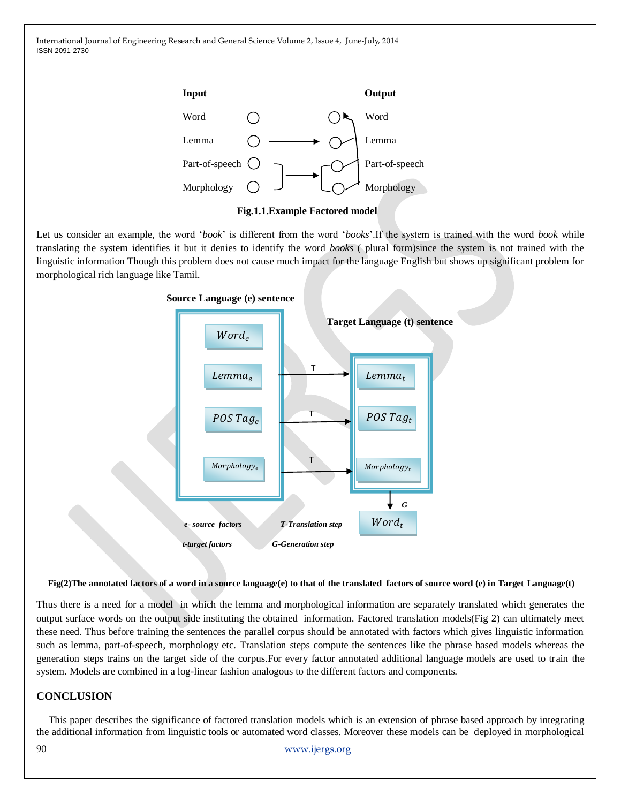

Let us consider an example, the word ‗*book*' is different from the word ‗*books*'.If the system is trained with the word *book* while translating the system identifies it but it denies to identify the word *books* ( plural form)since the system is not trained with the linguistic information Though this problem does not cause much impact for the language English but shows up significant problem for morphological rich language like Tamil.



## **Fig(2)The annotated factors of a word in a source language(e) to that of the translated factors of source word (e) in Target Language(t)**

Thus there is a need for a model in which the lemma and morphological information are separately translated which generates the output surface words on the output side instituting the obtained information. Factored translation models(Fig 2) can ultimately meet these need. Thus before training the sentences the parallel corpus should be annotated with factors which gives linguistic information such as lemma, part-of-speech, morphology etc. Translation steps compute the sentences like the phrase based models whereas the generation steps trains on the target side of the corpus.For every factor annotated additional language models are used to train the system. Models are combined in a log-linear fashion analogous to the different factors and components.

## **CONCLUSION**

This paper describes the significance of factored translation models which is an extension of phrase based approach by integrating the additional information from linguistic tools or automated word classes. Moreover these models can be deployed in morphological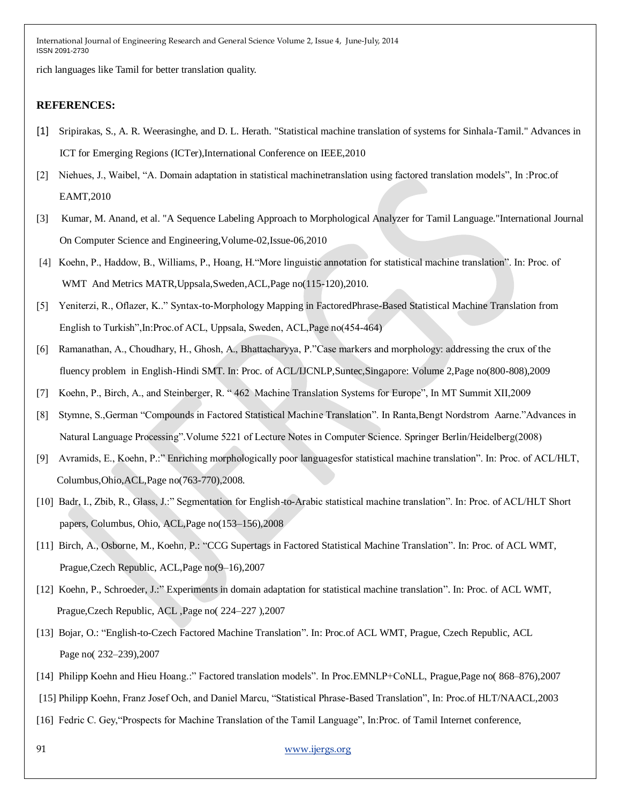rich languages like Tamil for better translation quality.

## **REFERENCES:**

- [1] Sripirakas, S., A. R. Weerasinghe, and D. L. Herath. "Statistical machine translation of systems for Sinhala-Tamil." Advances in ICT for Emerging Regions (ICTer),International Conference on IEEE,2010
- [2] Niehues, J., Waibel, "A. Domain adaptation in statistical machinetranslation using factored translation models", In :Proc.of EAMT,2010
- [3] Kumar, M. Anand, et al. "A Sequence Labeling Approach to Morphological Analyzer for Tamil Language."International Journal On Computer Science and Engineering,Volume-02,Issue-06,2010
- [4] Koehn, P., Haddow, B., Williams, P., Hoang, H. "More linguistic annotation for statistical machine translation". In: Proc. of WMT And Metrics MATR,Uppsala,Sweden,ACL,Page no(115-120),2010.
- [5] Yeniterzi, R., Oflazer, K.." Syntax-to-Morphology Mapping in FactoredPhrase-Based Statistical Machine Translation from English to Turkish", In: Proc. of ACL, Uppsala, Sweden, ACL, Page no(454-464)
- [6] Ramanathan, A., Choudhary, H., Ghosh, A., Bhattacharyya, P. "Case markers and morphology: addressing the crux of the fluency problem in English-Hindi SMT. In: Proc. of ACL/IJCNLP,Suntec,Singapore: Volume 2,Page no(800-808),2009
- [7] Koehn, P., Birch, A., and Steinberger, R. "462 Machine Translation Systems for Europe", In MT Summit XII,2009
- [8] Stymne, S.,German "Compounds in Factored Statistical Machine Translation". In Ranta,Bengt Nordstrom Aarne."Advances in Natural Language Processing". Volume 5221 of Lecture Notes in Computer Science. Springer Berlin/Heidelberg(2008)
- [9] Avramids, E., Koehn, P.:" Enriching morphologically poor languagesfor statistical machine translation". In: Proc. of ACL/HLT, Columbus,Ohio,ACL,Page no(763-770),2008.
- [10] Badr, I., Zbib, R., Glass, J.:" Segmentation for English-to-Arabic statistical machine translation". In: Proc. of ACL/HLT Short papers, Columbus, Ohio, ACL,Page no(153–156),2008
- [11] Birch, A., Osborne, M., Koehn, P.: "CCG Supertags in Factored Statistical Machine Translation". In: Proc. of ACL WMT, Prague,Czech Republic, ACL,Page no(9–16),2007
- [12] Koehn, P., Schroeder, J.:" Experiments in domain adaptation for statistical machine translation". In: Proc. of ACL WMT, Prague,Czech Republic, ACL ,Page no( 224–227 ),2007
- [13] Bojar, O.: "English-to-Czech Factored Machine Translation". In: Proc.of ACL WMT, Prague, Czech Republic, ACL Page no( 232–239),2007
- [14] Philipp Koehn and Hieu Hoang.:" Factored translation models". In Proc.EMNLP+CoNLL, Prague,Page no( 868–876),2007

[15] Philipp Koehn, Franz Josef Och, and Daniel Marcu, "Statistical Phrase-Based Translation", In: Proc.of HLT/NAACL,2003

[16] Fedric C. Gey, "Prospects for Machine Translation of the Tamil Language", In:Proc. of Tamil Internet conference,